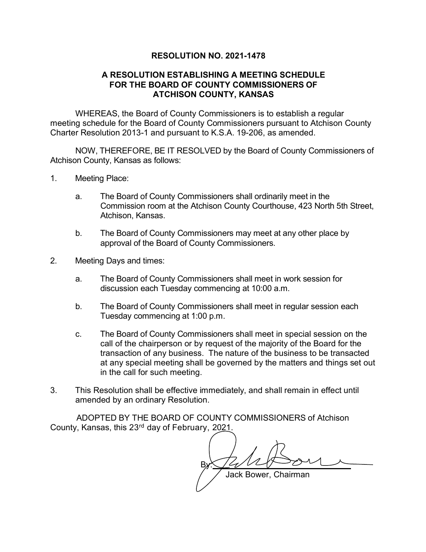## **RESOLUTION NO. 2021-1478**

## **A RESOLUTION ESTABLISHING A MEETING SCHEDULE FOR THE BOARD OF COUNTY COMMISSIONERS OF ATCHISON COUNTY, KANSAS**

WHEREAS, the Board of County Commissioners is to establish a regular meeting schedule for the Board of County Commissioners pursuant to Atchison County Charter Resolution 2013-1 and pursuant to K.S.A. 19-206, as amended.

NOW, THEREFORE, BE IT RESOLVED by the Board of County Commissioners of Atchison County, Kansas as follows:

- 1. Meeting Place:
	- a. The Board of County Commissioners shall ordinarily meet in the Commission room at the Atchison County Courthouse, 423 North 5th Street, Atchison, Kansas.
	- b. The Board of County Commissioners may meet at any other place by approval of the Board of County Commissioners.
- 2. Meeting Days and times:
	- a. The Board of County Commissioners shall meet in work session for discussion each Tuesday commencing at 10:00 a.m.
	- b. The Board of County Commissioners shall meet in regular session each Tuesday commencing at 1:00 p.m.
	- c. The Board of County Commissioners shall meet in special session on the call of the chairperson or by request of the majority of the Board for the transaction of any business. The nature of the business to be transacted at any special meeting shall be governed by the matters and things set out in the call for such meeting.
- 3. This Resolution shall be effective immediately, and shall remain in effect until amended by an ordinary Resolution.

ADOPTED BY THE BOARD OF COUNTY COMMISSIONERS of Atchison County, Kansas, this 23rd day of February, 2021.

By: Jack Bower, Chairman By Z/1<br>Jack Bower, Chairman